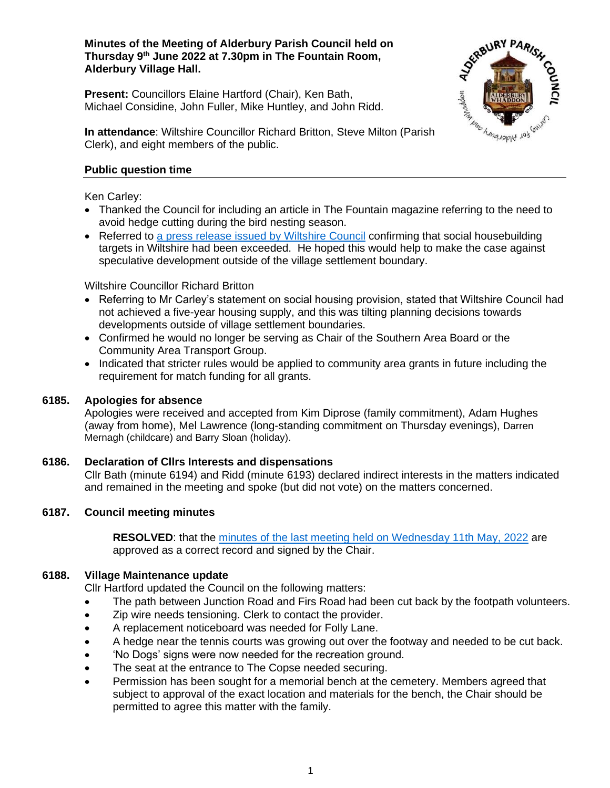## **Minutes of the Meeting of Alderbury Parish Council held on Thursday 9 th June 2022 at 7.30pm in The Fountain Room, Alderbury Village Hall.**

**Present:** Councillors Elaine Hartford (Chair), Ken Bath, Michael Considine, John Fuller, Mike Huntley, and John Ridd.



**In attendance**: Wiltshire Councillor Richard Britton, Steve Milton (Parish Clerk), and eight members of the public.

# **Public question time**

Ken Carley:

- Thanked the Council for including an article in The Fountain magazine referring to the need to avoid hedge cutting during the bird nesting season.
- Referred to [a press release issued by Wiltshire Council](https://www.wiltshire.gov.uk/news/council-exceeds-affordable-housing-target) confirming that social housebuilding targets in Wiltshire had been exceeded. He hoped this would help to make the case against speculative development outside of the village settlement boundary.

Wiltshire Councillor Richard Britton

- Referring to Mr Carley's statement on social housing provision, stated that Wiltshire Council had not achieved a five-year housing supply, and this was tilting planning decisions towards developments outside of village settlement boundaries.
- Confirmed he would no longer be serving as Chair of the Southern Area Board or the Community Area Transport Group.
- Indicated that stricter rules would be applied to community area grants in future including the requirement for match funding for all grants.

# **6185. Apologies for absence**

Apologies were received and accepted from Kim Diprose (family commitment), Adam Hughes (away from home), Mel Lawrence (long-standing commitment on Thursday evenings), Darren Mernagh (childcare) and Barry Sloan (holiday).

# **6186. Declaration of Cllrs Interests and dispensations**

Cllr Bath (minute 6194) and Ridd (minute 6193) declared indirect interests in the matters indicated and remained in the meeting and spoke (but did not vote) on the matters concerned.

# **6187. Council meeting minutes**

**RESOLVED**: that the [minutes of the last meeting held on Wednesday 11th May, 2022](http://www.alderburyparishcouncil.gov.uk/Meetings_Agendas__and__Minutes_34465.aspx) are approved as a correct record and signed by the Chair.

# **6188. Village Maintenance update**

Cllr Hartford updated the Council on the following matters:

- The path between Junction Road and Firs Road had been cut back by the footpath volunteers.
- Zip wire needs tensioning. Clerk to contact the provider.
- A replacement noticeboard was needed for Folly Lane.
- A hedge near the tennis courts was growing out over the footway and needed to be cut back.
- 'No Dogs' signs were now needed for the recreation ground.
- The seat at the entrance to The Copse needed securing.
- Permission has been sought for a memorial bench at the cemetery. Members agreed that subject to approval of the exact location and materials for the bench, the Chair should be permitted to agree this matter with the family.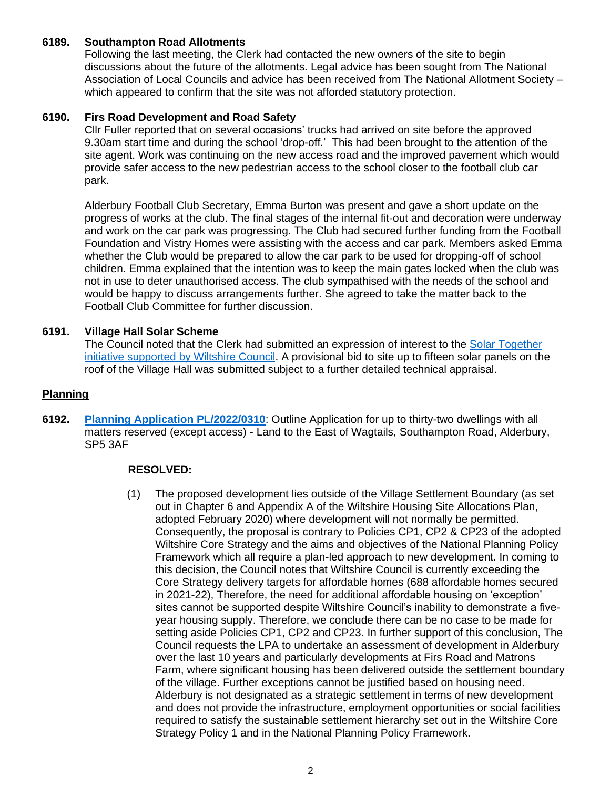# **6189. Southampton Road Allotments**

Following the last meeting, the Clerk had contacted the new owners of the site to begin discussions about the future of the allotments. Legal advice has been sought from The National Association of Local Councils and advice has been received from The National Allotment Society – which appeared to confirm that the site was not afforded statutory protection.

#### **6190. Firs Road Development and Road Safety**

Cllr Fuller reported that on several occasions' trucks had arrived on site before the approved 9.30am start time and during the school 'drop-off.' This had been brought to the attention of the site agent. Work was continuing on the new access road and the improved pavement which would provide safer access to the new pedestrian access to the school closer to the football club car park.

Alderbury Football Club Secretary, Emma Burton was present and gave a short update on the progress of works at the club. The final stages of the internal fit-out and decoration were underway and work on the car park was progressing. The Club had secured further funding from the Football Foundation and Vistry Homes were assisting with the access and car park. Members asked Emma whether the Club would be prepared to allow the car park to be used for dropping-off of school children. Emma explained that the intention was to keep the main gates locked when the club was not in use to deter unauthorised access. The club sympathised with the needs of the school and would be happy to discuss arrangements further. She agreed to take the matter back to the Football Club Committee for further discussion.

### **6191. Village Hall Solar Scheme**

The Council noted that the Clerk had submitted an expression of interest to the [Solar Together](https://youtu.be/p56RJp9c6Yo)  [initiative supported by Wiltshire Council.](https://youtu.be/p56RJp9c6Yo) A provisional bid to site up to fifteen solar panels on the roof of the Village Hall was submitted subject to a further detailed technical appraisal.

#### **Planning**

**6192. [Planning Application PL/2022/0310](https://development.wiltshire.gov.uk/pr/s/planning-application/a0i3z0000183tyFAAQ/pl202203103)**: Outline Application for up to thirty-two dwellings with all matters reserved (except access) - Land to the East of Wagtails, Southampton Road, Alderbury, SP5 3AF

#### **RESOLVED:**

(1) The proposed development lies outside of the Village Settlement Boundary (as set out in Chapter 6 and Appendix A of the Wiltshire Housing Site Allocations Plan, adopted February 2020) where development will not normally be permitted. Consequently, the proposal is contrary to Policies CP1, CP2 & CP23 of the adopted Wiltshire Core Strategy and the aims and objectives of the National Planning Policy Framework which all require a plan-led approach to new development. In coming to this decision, the Council notes that Wiltshire Council is currently exceeding the Core Strategy delivery targets for affordable homes (688 affordable homes secured in 2021-22), Therefore, the need for additional affordable housing on 'exception' sites cannot be supported despite Wiltshire Council's inability to demonstrate a fiveyear housing supply. Therefore, we conclude there can be no case to be made for setting aside Policies CP1, CP2 and CP23. In further support of this conclusion, The Council requests the LPA to undertake an assessment of development in Alderbury over the last 10 years and particularly developments at Firs Road and Matrons Farm, where significant housing has been delivered outside the settlement boundary of the village. Further exceptions cannot be justified based on housing need. Alderbury is not designated as a strategic settlement in terms of new development and does not provide the infrastructure, employment opportunities or social facilities required to satisfy the sustainable settlement hierarchy set out in the Wiltshire Core Strategy Policy 1 and in the National Planning Policy Framework.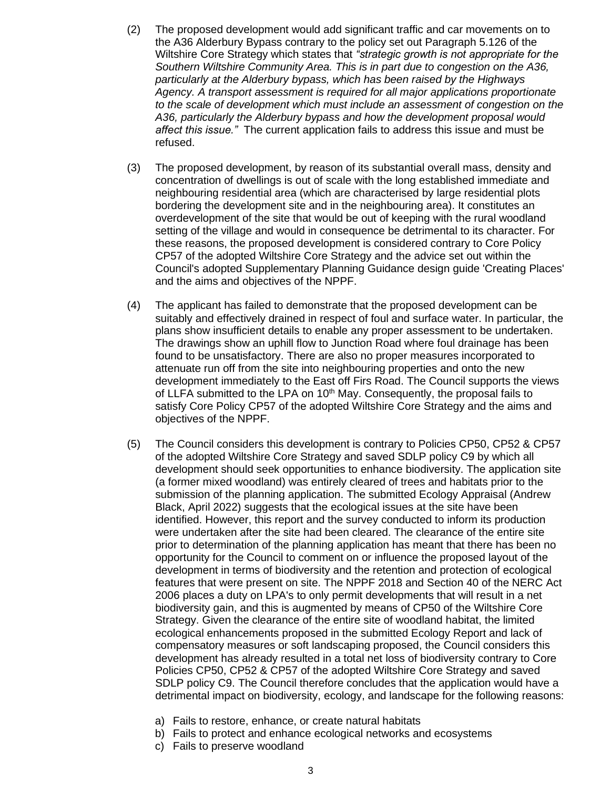- (2) The proposed development would add significant traffic and car movements on to the A36 Alderbury Bypass contrary to the policy set out Paragraph 5.126 of the Wiltshire Core Strategy which states that *"strategic growth is not appropriate for the Southern Wiltshire Community Area. This is in part due to congestion on the A36, particularly at the Alderbury bypass, which has been raised by the Highways Agency. A transport assessment is required for all major applications proportionate to the scale of development which must include an assessment of congestion on the A36, particularly the Alderbury bypass and how the development proposal would affect this issue."* The current application fails to address this issue and must be refused.
- (3) The proposed development, by reason of its substantial overall mass, density and concentration of dwellings is out of scale with the long established immediate and neighbouring residential area (which are characterised by large residential plots bordering the development site and in the neighbouring area). It constitutes an overdevelopment of the site that would be out of keeping with the rural woodland setting of the village and would in consequence be detrimental to its character. For these reasons, the proposed development is considered contrary to Core Policy CP57 of the adopted Wiltshire Core Strategy and the advice set out within the Council's adopted Supplementary Planning Guidance design guide 'Creating Places' and the aims and objectives of the NPPF.
- (4) The applicant has failed to demonstrate that the proposed development can be suitably and effectively drained in respect of foul and surface water. In particular, the plans show insufficient details to enable any proper assessment to be undertaken. The drawings show an uphill flow to Junction Road where foul drainage has been found to be unsatisfactory. There are also no proper measures incorporated to attenuate run off from the site into neighbouring properties and onto the new development immediately to the East off Firs Road. The Council supports the views of LLFA submitted to the LPA on 10<sup>th</sup> May. Consequently, the proposal fails to satisfy Core Policy CP57 of the adopted Wiltshire Core Strategy and the aims and objectives of the NPPF.
- (5) The Council considers this development is contrary to Policies CP50, CP52 & CP57 of the adopted Wiltshire Core Strategy and saved SDLP policy C9 by which all development should seek opportunities to enhance biodiversity. The application site (a former mixed woodland) was entirely cleared of trees and habitats prior to the submission of the planning application. The submitted Ecology Appraisal (Andrew Black, April 2022) suggests that the ecological issues at the site have been identified. However, this report and the survey conducted to inform its production were undertaken after the site had been cleared. The clearance of the entire site prior to determination of the planning application has meant that there has been no opportunity for the Council to comment on or influence the proposed layout of the development in terms of biodiversity and the retention and protection of ecological features that were present on site. The NPPF 2018 and Section 40 of the NERC Act 2006 places a duty on LPA's to only permit developments that will result in a net biodiversity gain, and this is augmented by means of CP50 of the Wiltshire Core Strategy. Given the clearance of the entire site of woodland habitat, the limited ecological enhancements proposed in the submitted Ecology Report and lack of compensatory measures or soft landscaping proposed, the Council considers this development has already resulted in a total net loss of biodiversity contrary to Core Policies CP50, CP52 & CP57 of the adopted Wiltshire Core Strategy and saved SDLP policy C9. The Council therefore concludes that the application would have a detrimental impact on biodiversity, ecology, and landscape for the following reasons:
	- a) Fails to restore, enhance, or create natural habitats
	- b) Fails to protect and enhance ecological networks and ecosystems
	- c) Fails to preserve woodland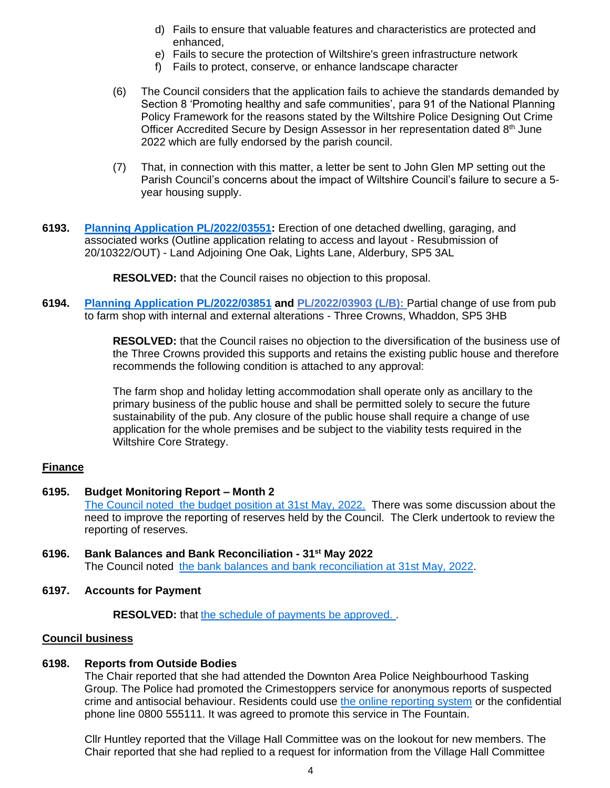- d) Fails to ensure that valuable features and characteristics are protected and enhanced,
- e) Fails to secure the protection of Wiltshire's green infrastructure network
- f) Fails to protect, conserve, or enhance landscape character
- (6) The Council considers that the application fails to achieve the standards demanded by Section 8 'Promoting healthy and safe communities', para 91 of the National Planning Policy Framework for the reasons stated by the Wiltshire Police Designing Out Crime Officer Accredited Secure by Design Assessor in her representation dated  $8<sup>th</sup>$  June 2022 which are fully endorsed by the parish council.
- (7) That, in connection with this matter, a letter be sent to John Glen MP setting out the Parish Council's concerns about the impact of Wiltshire Council's failure to secure a 5 year housing supply.
- **6193. [Planning Application PL/2022/03551:](https://development.wiltshire.gov.uk/pr/s/planning-application/a0i3z000018657gAAA/pl202203551)** Erection of one detached dwelling, garaging, and associated works (Outline application relating to access and layout - Resubmission of 20/10322/OUT) - Land Adjoining One Oak, Lights Lane, Alderbury, SP5 3AL

**RESOLVED:** that the Council raises no objection to this proposal.

**6194. [Planning Application](https://development.wiltshire.gov.uk/pr/s/planning-application/a0i3z000018G580AAC/pl202203851) PL/2022/03851 and [PL/2022/03903 \(L/B\):](https://development.wiltshire.gov.uk/pr/s/planning-application/a0i3z000018G8IcAAK/pl202203903)** Partial change of use from pub to farm shop with internal and external alterations - Three Crowns, Whaddon, SP5 3HB

> **RESOLVED:** that the Council raises no objection to the diversification of the business use of the Three Crowns provided this supports and retains the existing public house and therefore recommends the following condition is attached to any approval:

The farm shop and holiday letting accommodation shall operate only as ancillary to the primary business of the public house and shall be permitted solely to secure the future sustainability of the pub. Any closure of the public house shall require a change of use application for the whole premises and be subject to the viability tests required in the Wiltshire Core Strategy.

# **Finance**

- **6195. Budget Monitoring Report – Month 2** [The Council noted the budget position at 31st May, 2022.](https://v6-5admin.visionict.com/Sites/2781/_UserFiles/Files/Council%20documents/2022/BM_2002_05.pdf) There was some discussion about the need to improve the reporting of reserves held by the Council. The Clerk undertook to review the reporting of reserves.
- **6196. Bank Balances and Bank Reconciliation - 31st May 2022** The Council noted [the bank balances and bank reconciliation at 31st May, 2022.](https://v6-5admin.visionict.com/Sites/2781/_UserFiles/Files/Council%20documents/2022/2022-05.PDF)
- **6197. Accounts for Payment**

**RESOLVED:** that [the schedule of payments be approved. .](https://d.docs.live.net/86881a7c2f454489/Desktop/Agendas%20and%20Minutes/Minutes/2022/2022%20APC%20May%20for%20public%20V4.pdf)

#### **Council business**

#### **6198. Reports from Outside Bodies**

The Chair reported that she had attended the Downton Area Police Neighbourhood Tasking Group. The Police had promoted the Crimestoppers service for anonymous reports of suspected crime and antisocial behaviour. Residents could use [the online reporting system](https://crimestoppers-uk.org/) or the confidential phone line 0800 555111. It was agreed to promote this service in The Fountain.

Cllr Huntley reported that the Village Hall Committee was on the lookout for new members. The Chair reported that she had replied to a request for information from the Village Hall Committee